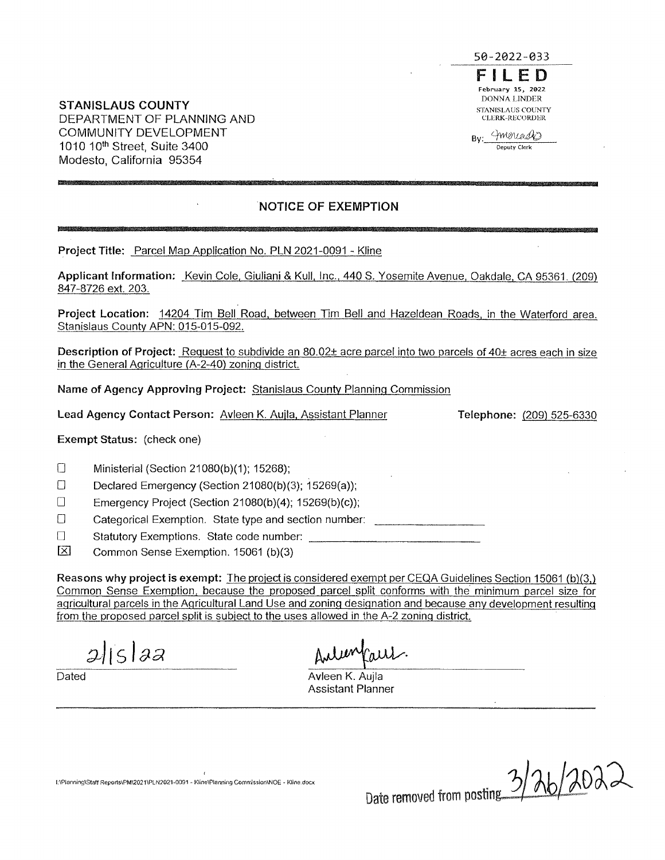

Inverence **Deputy Clerk** 

**STANISLAUS COUNTY**  DEPARTMENT OF PLANNING AND COMMUNITY DEVELOPMENT 1010 10<sup>th</sup> Street, Suite 3400 Modesto, California 95354

# **NOTICE OF EXEMPTION**

**Project Title:** Parcel Map Application No. PLN 2021-0091 - Kline

**Applicant Information:** Kevin Cole, Giuliani & Kull, Inc., 440 S. Yosemite Avenue, Oakdale, CA 95361. (209) 847-8726 ext. 203.

**Project Location:** 14204 Tim Bell Road, between Tim Bell and Hazeldean Roads, in the Waterford area. Stanislaus County APN: 015-015-092.

Description of Project: Request to subdivide an 80.02± acre parcel into two parcels of 40± acres each in size in the General Agriculture (A-2-40) zoning district.

**Name of Agency Approving Project:** Stanislaus County Planning Commission

**Lead Agency Contact Person:** Avleen K. Aujla, Assistant Planner

**Telephone:** (209) 525-6330

**Exempt Status:** (check one)

D Ministerial (Section 21080(b)(1); 15268);

Declared Emergency (Section 21080(b)(3); 15269(a));

 $\square$  Emergency Project (Section 21080(b)(4); 15269(b)(c));

D Categorical Exemption. State type and section number:

D Statutory Exemptions. State code number:

IBl Common Sense Exemption. 15061 (b)(3)

**Reasons why project is exempt:** The project is considered exempt per CEQA Guidelines Section 15061 (b)(3,) Common Sense Exemption, because the proposed parcel split conforms with the minimum parcel size for agricultural parcels in the Agricultural Land Use and zoning designation and because any development resulting from the proposed parcel split is subject to the uses allowed in the A-2 zoning district.

 $2$   $|5|$   $22$ 

Dated **Aview Aview Aview Aview Aview Aview Aview Aview Aview Aview Aview Aview Aview Aview Aview Aview Aview Aview** Assistant Planner

**l:\Planning\Staft Repof1s\PM\2021\PLN2021·0091 - Kline\Planning Comn-Jssion\NOE - Kline.docx** 

Date removed from posting 3/7b/2022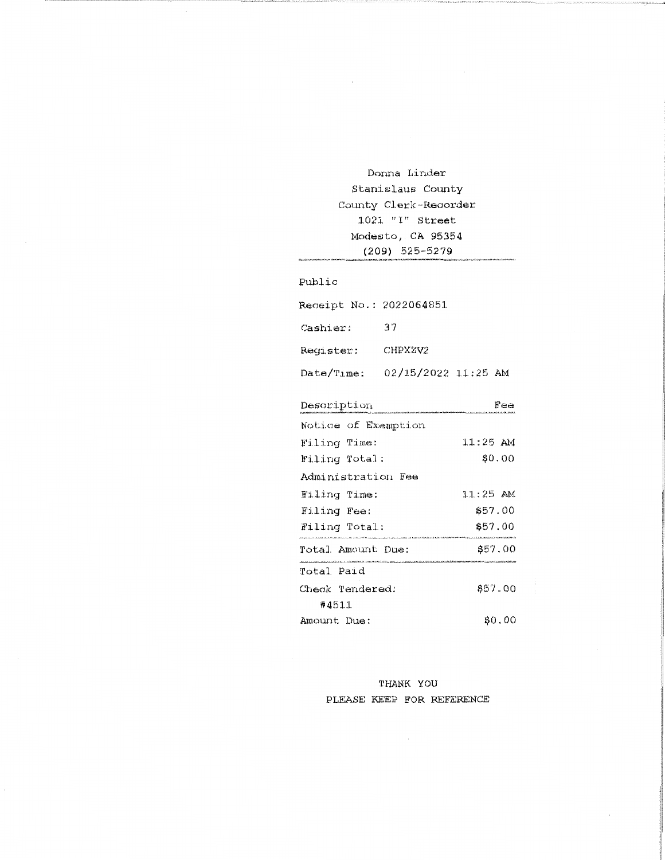Donna Linder Stanislaus County County Clerk-Recorder  $1021$  "I" Street Modesto, CA 95354  $(209)$  525-5279

Public

| Receipt No.: 2022064851        |                     |  |
|--------------------------------|---------------------|--|
| Cashier:                       | 37                  |  |
| Register:                      | CHPXZV2             |  |
| $\mathtt{Date}/\mathtt{Time:}$ | 02/15/2022 11:25 AM |  |

| Description         | rea        |
|---------------------|------------|
| Notice of Exemption |            |
| Filing Time:        | $11:25$ AM |
| Filing Total:       | \$0.00     |
| Administration Fee  |            |
| Filing Time:        | $11:25$ AM |
| Filing Fee:         | \$57.00    |
| Filing Total:       | \$57.00    |
| Total Amount Due:   | \$57.00    |
| Total Paid          |            |
| Check Tendered:     | 657.00     |
| #4511               |            |
| Amount Due:         | SO.OO      |

THANK YOU PLEASE KEEP FOR REFERENCE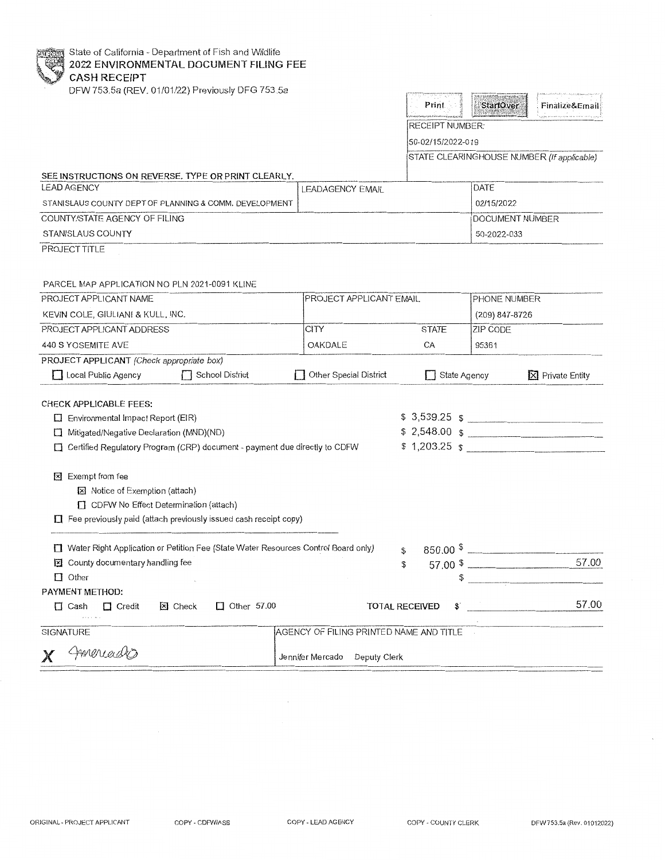State of California - Department of Fish and Wildlife **2022 ENVIRONMENTAL DOCUMENT FILING FEE CASH RECEIPT** 

DFW 753.5a (REV. 01/01/22) Previously DFG 753.5a

| <b>Finalize&amp;Email</b> |  |
|---------------------------|--|
|                           |  |

RECEIPT NUMBER:

50-02/15/2022-019

STATE CLEARINGHOUSE NUMBER (If applicable)

## SEE INSTRUCTIONS ON REVERSE. TYPE OR PRINT CLEARLY.

| LEAD AGENCY                                            | LEADAGENCY EMAIL | <b>IDATE</b>            |
|--------------------------------------------------------|------------------|-------------------------|
| STANISLAUS COUNTY DEPT OF PLANNING & COMM. DEVELOPMENT |                  | 02/15/2022              |
| COUNTY/STATE AGENCY OF FILING                          |                  | <b>IDOCUMENT NUMBER</b> |
| STANISLAUS COUNTY                                      |                  | 50-2022-033             |

PROJECT TITLE

#### PARCEL MAP APPLICATION NO PLN 2021-0091 KLINE

| PROJECT APPLICANT NAME                                                                                                                                                                | PROJECT APPLICANT EMAIL                 |                      | PHONE NUMBER    |                                                                                                                                                                                                                                                                                                                    |
|---------------------------------------------------------------------------------------------------------------------------------------------------------------------------------------|-----------------------------------------|----------------------|-----------------|--------------------------------------------------------------------------------------------------------------------------------------------------------------------------------------------------------------------------------------------------------------------------------------------------------------------|
| KEVIN COLE, GIULIANI & KULL, INC.                                                                                                                                                     |                                         |                      | (209) 847-8726  |                                                                                                                                                                                                                                                                                                                    |
| PROJECT APPLICANT ADDRESS                                                                                                                                                             | <b>CITY</b>                             | <b>STATE</b>         | <b>ZIP CODE</b> |                                                                                                                                                                                                                                                                                                                    |
| 440 S YOSEMITE AVE                                                                                                                                                                    | OAKDALE                                 | CA                   | 95361           |                                                                                                                                                                                                                                                                                                                    |
| PROJECT APPLICANT (Check appropriate box)                                                                                                                                             |                                         |                      |                 |                                                                                                                                                                                                                                                                                                                    |
| Local Public Agency School District                                                                                                                                                   | Other Special District                  | State Agency         |                 | X Private Entity                                                                                                                                                                                                                                                                                                   |
| <b>CHECK APPLICABLE FEES:</b>                                                                                                                                                         |                                         |                      |                 |                                                                                                                                                                                                                                                                                                                    |
| Environmental Impact Report (EIR)                                                                                                                                                     |                                         |                      |                 | $$3,539.25$ \$                                                                                                                                                                                                                                                                                                     |
| Mitigated/Negative Declaration (MND)(ND)<br>□                                                                                                                                         |                                         |                      |                 | \$2,548.00 \$                                                                                                                                                                                                                                                                                                      |
| Certified Regulatory Program (CRP) document - payment due directly to CDFW<br>П.                                                                                                      |                                         |                      |                 | $$1,203.25$ $$$                                                                                                                                                                                                                                                                                                    |
| <b>冈</b> Exempt from fee<br><b>図</b> Notice of Exemption (attach)<br>CDFW No Effect Determination (attach)<br>$\Box$ Fee previously paid (attach previously issued cash receipt copy) |                                         |                      |                 |                                                                                                                                                                                                                                                                                                                    |
| Water Right Application or Petition Fee (State Water Resources Control Board only)                                                                                                    |                                         | \$                   |                 | $850.00$ $\frac{1}{2}$ $\frac{1}{2}$ $\frac{1}{2}$ $\frac{1}{2}$ $\frac{1}{2}$ $\frac{1}{2}$ $\frac{1}{2}$ $\frac{1}{2}$ $\frac{1}{2}$ $\frac{1}{2}$ $\frac{1}{2}$ $\frac{1}{2}$ $\frac{1}{2}$ $\frac{1}{2}$ $\frac{1}{2}$ $\frac{1}{2}$ $\frac{1}{2}$ $\frac{1}{2}$ $\frac{1}{2}$ $\frac{1}{2}$ $\frac{1}{2}$ $\$ |
| County documentary handling fee                                                                                                                                                       |                                         | \$                   |                 | 57.00<br>$57.00*$                                                                                                                                                                                                                                                                                                  |
| $\Box$ Other                                                                                                                                                                          |                                         |                      |                 |                                                                                                                                                                                                                                                                                                                    |
| PAYMENT METHOD:                                                                                                                                                                       |                                         |                      |                 |                                                                                                                                                                                                                                                                                                                    |
| X Check<br>$\Box$ Other 57.00<br>$\Box$ Cash<br>$\Box$ Credit                                                                                                                         |                                         | TOTAL RECEIVED<br>\$ |                 | 57.00                                                                                                                                                                                                                                                                                                              |
| <b>SIGNATURE</b>                                                                                                                                                                      | AGENCY OF FILING PRINTED NAME AND TITLE |                      |                 |                                                                                                                                                                                                                                                                                                                    |
| Americado                                                                                                                                                                             | Jennifer Mercado Deputy Clerk           |                      |                 |                                                                                                                                                                                                                                                                                                                    |